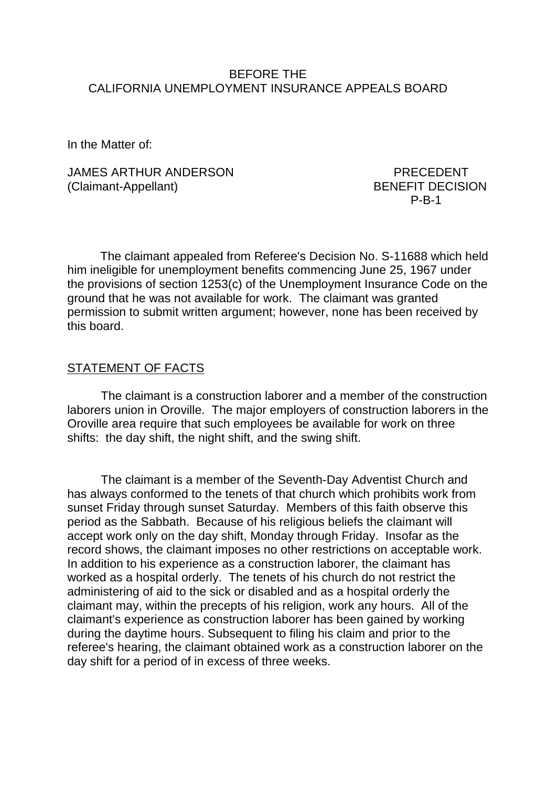### BEFORE THE CALIFORNIA UNEMPLOYMENT INSURANCE APPEALS BOARD

In the Matter of:

JAMES ARTHUR ANDERSON PRECEDENT (Claimant-Appellant) BENEFIT DECISION

P-B-1

The claimant appealed from Referee's Decision No. S-11688 which held him ineligible for unemployment benefits commencing June 25, 1967 under the provisions of section 1253(c) of the Unemployment Insurance Code on the ground that he was not available for work. The claimant was granted permission to submit written argument; however, none has been received by this board.

#### STATEMENT OF FACTS

The claimant is a construction laborer and a member of the construction laborers union in Oroville. The major employers of construction laborers in the Oroville area require that such employees be available for work on three shifts: the day shift, the night shift, and the swing shift.

The claimant is a member of the Seventh-Day Adventist Church and has always conformed to the tenets of that church which prohibits work from sunset Friday through sunset Saturday. Members of this faith observe this period as the Sabbath. Because of his religious beliefs the claimant will accept work only on the day shift, Monday through Friday. Insofar as the record shows, the claimant imposes no other restrictions on acceptable work. In addition to his experience as a construction laborer, the claimant has worked as a hospital orderly. The tenets of his church do not restrict the administering of aid to the sick or disabled and as a hospital orderly the claimant may, within the precepts of his religion, work any hours. All of the claimant's experience as construction laborer has been gained by working during the daytime hours. Subsequent to filing his claim and prior to the referee's hearing, the claimant obtained work as a construction laborer on the day shift for a period of in excess of three weeks.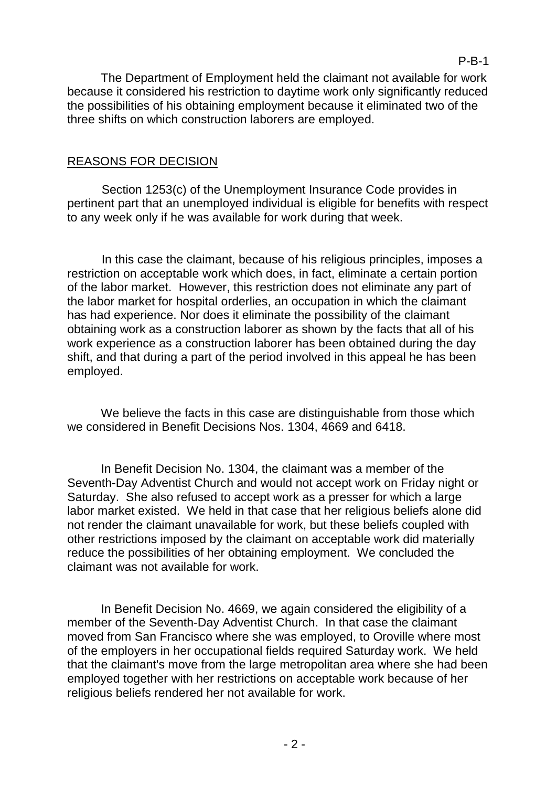The Department of Employment held the claimant not available for work because it considered his restriction to daytime work only significantly reduced the possibilities of his obtaining employment because it eliminated two of the three shifts on which construction laborers are employed.

# REASONS FOR DECISION

Section 1253(c) of the Unemployment Insurance Code provides in pertinent part that an unemployed individual is eligible for benefits with respect to any week only if he was available for work during that week.

In this case the claimant, because of his religious principles, imposes a restriction on acceptable work which does, in fact, eliminate a certain portion of the labor market. However, this restriction does not eliminate any part of the labor market for hospital orderlies, an occupation in which the claimant has had experience. Nor does it eliminate the possibility of the claimant obtaining work as a construction laborer as shown by the facts that all of his work experience as a construction laborer has been obtained during the day shift, and that during a part of the period involved in this appeal he has been employed.

We believe the facts in this case are distinguishable from those which we considered in Benefit Decisions Nos. 1304, 4669 and 6418.

In Benefit Decision No. 1304, the claimant was a member of the Seventh-Day Adventist Church and would not accept work on Friday night or Saturday. She also refused to accept work as a presser for which a large labor market existed. We held in that case that her religious beliefs alone did not render the claimant unavailable for work, but these beliefs coupled with other restrictions imposed by the claimant on acceptable work did materially reduce the possibilities of her obtaining employment. We concluded the claimant was not available for work.

In Benefit Decision No. 4669, we again considered the eligibility of a member of the Seventh-Day Adventist Church. In that case the claimant moved from San Francisco where she was employed, to Oroville where most of the employers in her occupational fields required Saturday work. We held that the claimant's move from the large metropolitan area where she had been employed together with her restrictions on acceptable work because of her religious beliefs rendered her not available for work.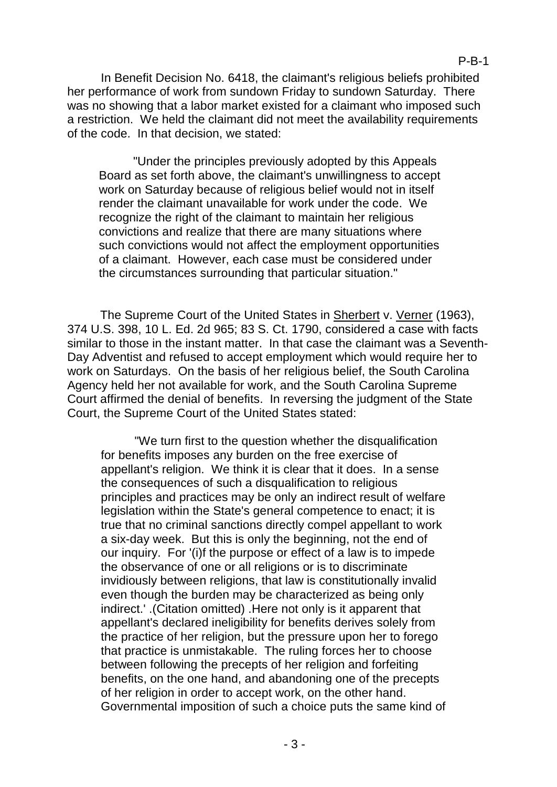In Benefit Decision No. 6418, the claimant's religious beliefs prohibited her performance of work from sundown Friday to sundown Saturday. There was no showing that a labor market existed for a claimant who imposed such a restriction. We held the claimant did not meet the availability requirements of the code. In that decision, we stated:

"Under the principles previously adopted by this Appeals Board as set forth above, the claimant's unwillingness to accept work on Saturday because of religious belief would not in itself render the claimant unavailable for work under the code. We recognize the right of the claimant to maintain her religious convictions and realize that there are many situations where such convictions would not affect the employment opportunities of a claimant. However, each case must be considered under the circumstances surrounding that particular situation."

The Supreme Court of the United States in Sherbert v. Verner (1963), 374 U.S. 398, 10 L. Ed. 2d 965; 83 S. Ct. 1790, considered a case with facts similar to those in the instant matter. In that case the claimant was a Seventh-Day Adventist and refused to accept employment which would require her to work on Saturdays. On the basis of her religious belief, the South Carolina Agency held her not available for work, and the South Carolina Supreme Court affirmed the denial of benefits. In reversing the judgment of the State Court, the Supreme Court of the United States stated:

"We turn first to the question whether the disqualification for benefits imposes any burden on the free exercise of appellant's religion. We think it is clear that it does. In a sense the consequences of such a disqualification to religious principles and practices may be only an indirect result of welfare legislation within the State's general competence to enact; it is true that no criminal sanctions directly compel appellant to work a six-day week. But this is only the beginning, not the end of our inquiry. For '(i)f the purpose or effect of a law is to impede the observance of one or all religions or is to discriminate invidiously between religions, that law is constitutionally invalid even though the burden may be characterized as being only indirect.' .(Citation omitted) .Here not only is it apparent that appellant's declared ineligibility for benefits derives solely from the practice of her religion, but the pressure upon her to forego that practice is unmistakable. The ruling forces her to choose between following the precepts of her religion and forfeiting benefits, on the one hand, and abandoning one of the precepts of her religion in order to accept work, on the other hand. Governmental imposition of such a choice puts the same kind of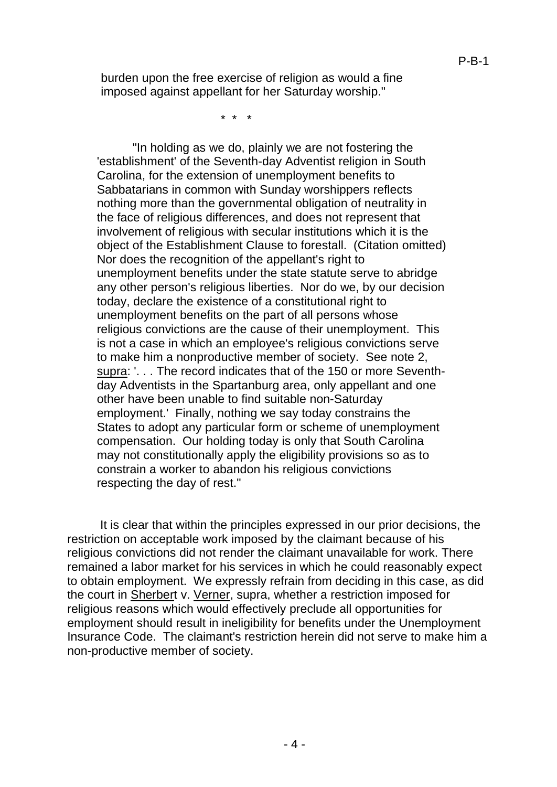burden upon the free exercise of religion as would a fine imposed against appellant for her Saturday worship."

\* \* \*

"In holding as we do, plainly we are not fostering the 'establishment' of the Seventh-day Adventist religion in South Carolina, for the extension of unemployment benefits to Sabbatarians in common with Sunday worshippers reflects nothing more than the governmental obligation of neutrality in the face of religious differences, and does not represent that involvement of religious with secular institutions which it is the object of the Establishment Clause to forestall. (Citation omitted) Nor does the recognition of the appellant's right to unemployment benefits under the state statute serve to abridge any other person's religious liberties. Nor do we, by our decision today, declare the existence of a constitutional right to unemployment benefits on the part of all persons whose religious convictions are the cause of their unemployment. This is not a case in which an employee's religious convictions serve to make him a nonproductive member of society. See note 2, supra: '. . . The record indicates that of the 150 or more Seventhday Adventists in the Spartanburg area, only appellant and one other have been unable to find suitable non-Saturday employment.' Finally, nothing we say today constrains the States to adopt any particular form or scheme of unemployment compensation. Our holding today is only that South Carolina may not constitutionally apply the eligibility provisions so as to constrain a worker to abandon his religious convictions respecting the day of rest."

It is clear that within the principles expressed in our prior decisions, the restriction on acceptable work imposed by the claimant because of his religious convictions did not render the claimant unavailable for work. There remained a labor market for his services in which he could reasonably expect to obtain employment. We expressly refrain from deciding in this case, as did the court in Sherbert v. Verner, supra, whether a restriction imposed for religious reasons which would effectively preclude all opportunities for employment should result in ineligibility for benefits under the Unemployment Insurance Code. The claimant's restriction herein did not serve to make him a non-productive member of society.